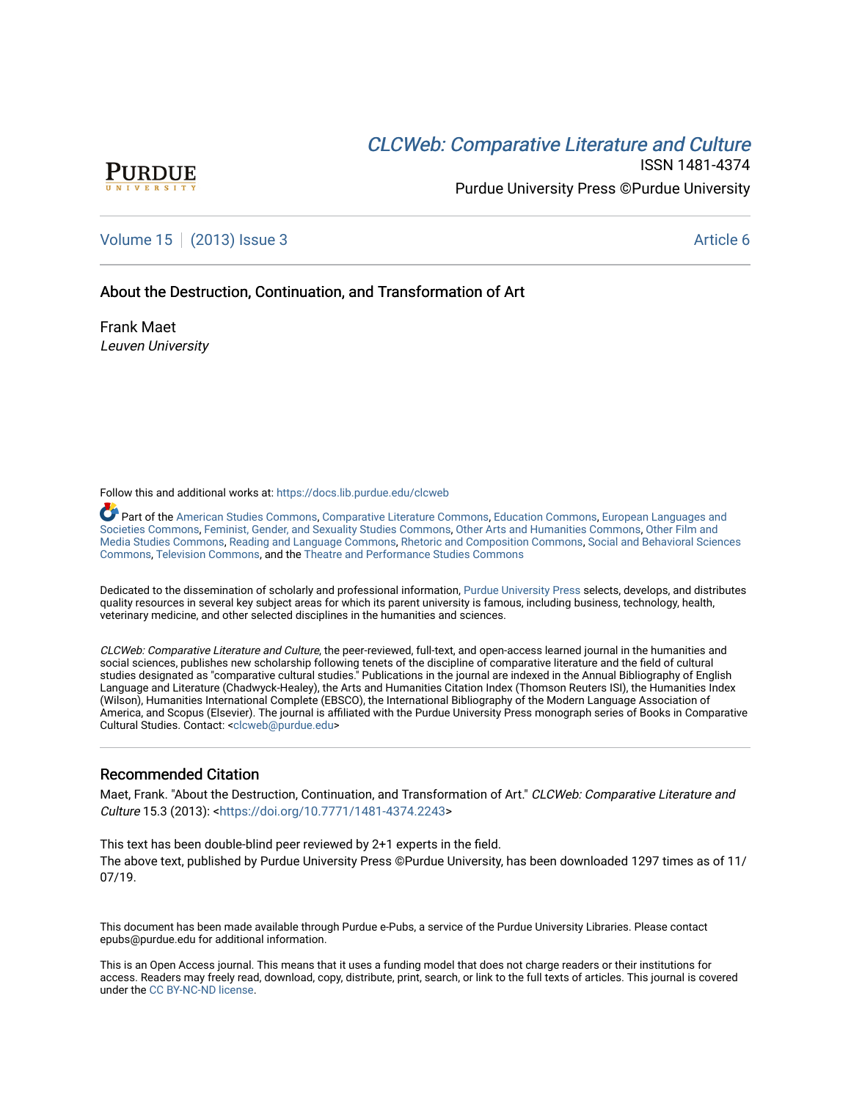# CLCW[eb: Comparative Liter](https://docs.lib.purdue.edu/clcweb)ature and Culture



ISSN 1481-4374 Purdue University Press ©Purdue University

## [Volume 15](https://docs.lib.purdue.edu/clcweb/vol15) | [\(2013\) Issue 3](https://docs.lib.purdue.edu/clcweb/vol15/iss3) Article 6

### About the Destruction, Continuation, and Transformation of Art

Frank Maet Leuven University

Follow this and additional works at: [https://docs.lib.purdue.edu/clcweb](https://docs.lib.purdue.edu/clcweb?utm_source=docs.lib.purdue.edu%2Fclcweb%2Fvol15%2Fiss3%2F6&utm_medium=PDF&utm_campaign=PDFCoverPages)

Part of the [American Studies Commons](http://network.bepress.com/hgg/discipline/439?utm_source=docs.lib.purdue.edu%2Fclcweb%2Fvol15%2Fiss3%2F6&utm_medium=PDF&utm_campaign=PDFCoverPages), [Comparative Literature Commons,](http://network.bepress.com/hgg/discipline/454?utm_source=docs.lib.purdue.edu%2Fclcweb%2Fvol15%2Fiss3%2F6&utm_medium=PDF&utm_campaign=PDFCoverPages) [Education Commons,](http://network.bepress.com/hgg/discipline/784?utm_source=docs.lib.purdue.edu%2Fclcweb%2Fvol15%2Fiss3%2F6&utm_medium=PDF&utm_campaign=PDFCoverPages) [European Languages and](http://network.bepress.com/hgg/discipline/482?utm_source=docs.lib.purdue.edu%2Fclcweb%2Fvol15%2Fiss3%2F6&utm_medium=PDF&utm_campaign=PDFCoverPages) [Societies Commons](http://network.bepress.com/hgg/discipline/482?utm_source=docs.lib.purdue.edu%2Fclcweb%2Fvol15%2Fiss3%2F6&utm_medium=PDF&utm_campaign=PDFCoverPages), [Feminist, Gender, and Sexuality Studies Commons,](http://network.bepress.com/hgg/discipline/559?utm_source=docs.lib.purdue.edu%2Fclcweb%2Fvol15%2Fiss3%2F6&utm_medium=PDF&utm_campaign=PDFCoverPages) [Other Arts and Humanities Commons](http://network.bepress.com/hgg/discipline/577?utm_source=docs.lib.purdue.edu%2Fclcweb%2Fvol15%2Fiss3%2F6&utm_medium=PDF&utm_campaign=PDFCoverPages), [Other Film and](http://network.bepress.com/hgg/discipline/565?utm_source=docs.lib.purdue.edu%2Fclcweb%2Fvol15%2Fiss3%2F6&utm_medium=PDF&utm_campaign=PDFCoverPages)  [Media Studies Commons](http://network.bepress.com/hgg/discipline/565?utm_source=docs.lib.purdue.edu%2Fclcweb%2Fvol15%2Fiss3%2F6&utm_medium=PDF&utm_campaign=PDFCoverPages), [Reading and Language Commons](http://network.bepress.com/hgg/discipline/1037?utm_source=docs.lib.purdue.edu%2Fclcweb%2Fvol15%2Fiss3%2F6&utm_medium=PDF&utm_campaign=PDFCoverPages), [Rhetoric and Composition Commons,](http://network.bepress.com/hgg/discipline/573?utm_source=docs.lib.purdue.edu%2Fclcweb%2Fvol15%2Fiss3%2F6&utm_medium=PDF&utm_campaign=PDFCoverPages) [Social and Behavioral Sciences](http://network.bepress.com/hgg/discipline/316?utm_source=docs.lib.purdue.edu%2Fclcweb%2Fvol15%2Fiss3%2F6&utm_medium=PDF&utm_campaign=PDFCoverPages) [Commons,](http://network.bepress.com/hgg/discipline/316?utm_source=docs.lib.purdue.edu%2Fclcweb%2Fvol15%2Fiss3%2F6&utm_medium=PDF&utm_campaign=PDFCoverPages) [Television Commons,](http://network.bepress.com/hgg/discipline/1143?utm_source=docs.lib.purdue.edu%2Fclcweb%2Fvol15%2Fiss3%2F6&utm_medium=PDF&utm_campaign=PDFCoverPages) and the [Theatre and Performance Studies Commons](http://network.bepress.com/hgg/discipline/552?utm_source=docs.lib.purdue.edu%2Fclcweb%2Fvol15%2Fiss3%2F6&utm_medium=PDF&utm_campaign=PDFCoverPages)

Dedicated to the dissemination of scholarly and professional information, [Purdue University Press](http://www.thepress.purdue.edu/) selects, develops, and distributes quality resources in several key subject areas for which its parent university is famous, including business, technology, health, veterinary medicine, and other selected disciplines in the humanities and sciences.

CLCWeb: Comparative Literature and Culture, the peer-reviewed, full-text, and open-access learned journal in the humanities and social sciences, publishes new scholarship following tenets of the discipline of comparative literature and the field of cultural studies designated as "comparative cultural studies." Publications in the journal are indexed in the Annual Bibliography of English Language and Literature (Chadwyck-Healey), the Arts and Humanities Citation Index (Thomson Reuters ISI), the Humanities Index (Wilson), Humanities International Complete (EBSCO), the International Bibliography of the Modern Language Association of America, and Scopus (Elsevier). The journal is affiliated with the Purdue University Press monograph series of Books in Comparative Cultural Studies. Contact: [<clcweb@purdue.edu](mailto:clcweb@purdue.edu)>

### Recommended Citation

Maet, Frank. "About the Destruction, Continuation, and Transformation of Art." CLCWeb: Comparative Literature and Culture 15.3 (2013): <[https://doi.org/10.7771/1481-4374.2243>](https://doi.org/10.7771/1481-4374.2243)

This text has been double-blind peer reviewed by 2+1 experts in the field. The above text, published by Purdue University Press ©Purdue University, has been downloaded 1297 times as of 11/ 07/19.

This document has been made available through Purdue e-Pubs, a service of the Purdue University Libraries. Please contact epubs@purdue.edu for additional information.

This is an Open Access journal. This means that it uses a funding model that does not charge readers or their institutions for access. Readers may freely read, download, copy, distribute, print, search, or link to the full texts of articles. This journal is covered under the [CC BY-NC-ND license.](https://creativecommons.org/licenses/by-nc-nd/4.0/)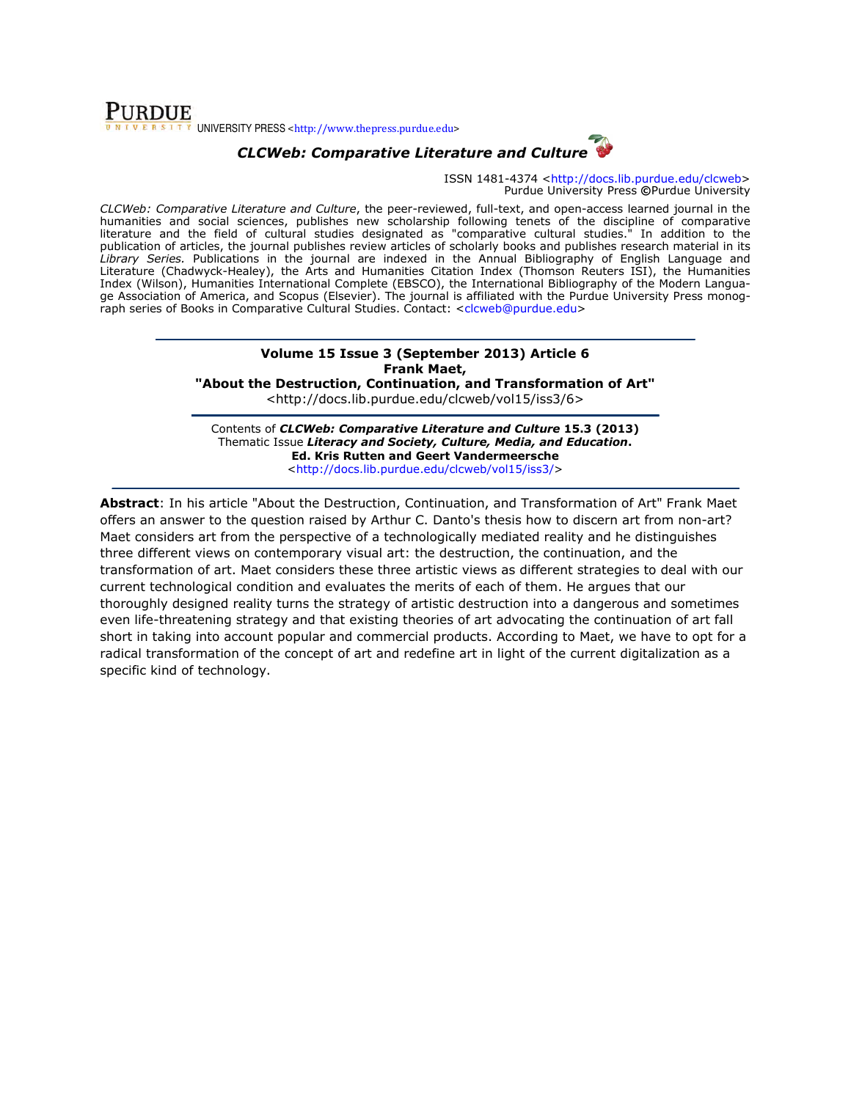### **PURDUE** UNIVERSITY PRESS <http://www.thepress.purdue.edu>



ISSN 1481-4374 <http://docs.lib.purdue.edu/clcweb> Purdue University Press ©Purdue University

CLCWeb: Comparative Literature and Culture, the peer-reviewed, full-text, and open-access learned journal in the humanities and social sciences, publishes new scholarship following tenets of the discipline of comparative literature and the field of cultural studies designated as "comparative cultural studies." In addition to the publication of articles, the journal publishes review articles of scholarly books and publishes research material in its Library Series. Publications in the journal are indexed in the Annual Bibliography of English Language and Literature (Chadwyck-Healey), the Arts and Humanities Citation Index (Thomson Reuters ISI), the Humanities Index (Wilson), Humanities International Complete (EBSCO), the International Bibliography of the Modern Language Association of America, and Scopus (Elsevier). The journal is affiliated with the Purdue University Press monograph series of Books in Comparative Cultural Studies. Contact: <clcweb@purdue.edu>

#### Volume 15 Issue 3 (September 2013) Article 6 Frank Maet,

"About the Destruction, Continuation, and Transformation of Art"

<http://docs.lib.purdue.edu/clcweb/vol15/iss3/6>

Contents of CLCWeb: Comparative Literature and Culture 15.3 (2013) Thematic Issue Literacy and Society, Culture, Media, and Education. Ed. Kris Rutten and Geert Vandermeersche <http://docs.lib.purdue.edu/clcweb/vol15/iss3/>

Abstract: In his article "About the Destruction, Continuation, and Transformation of Art" Frank Maet offers an answer to the question raised by Arthur C. Danto's thesis how to discern art from non-art? Maet considers art from the perspective of a technologically mediated reality and he distinguishes three different views on contemporary visual art: the destruction, the continuation, and the transformation of art. Maet considers these three artistic views as different strategies to deal with our current technological condition and evaluates the merits of each of them. He argues that our thoroughly designed reality turns the strategy of artistic destruction into a dangerous and sometimes even life-threatening strategy and that existing theories of art advocating the continuation of art fall short in taking into account popular and commercial products. According to Maet, we have to opt for a radical transformation of the concept of art and redefine art in light of the current digitalization as a specific kind of technology.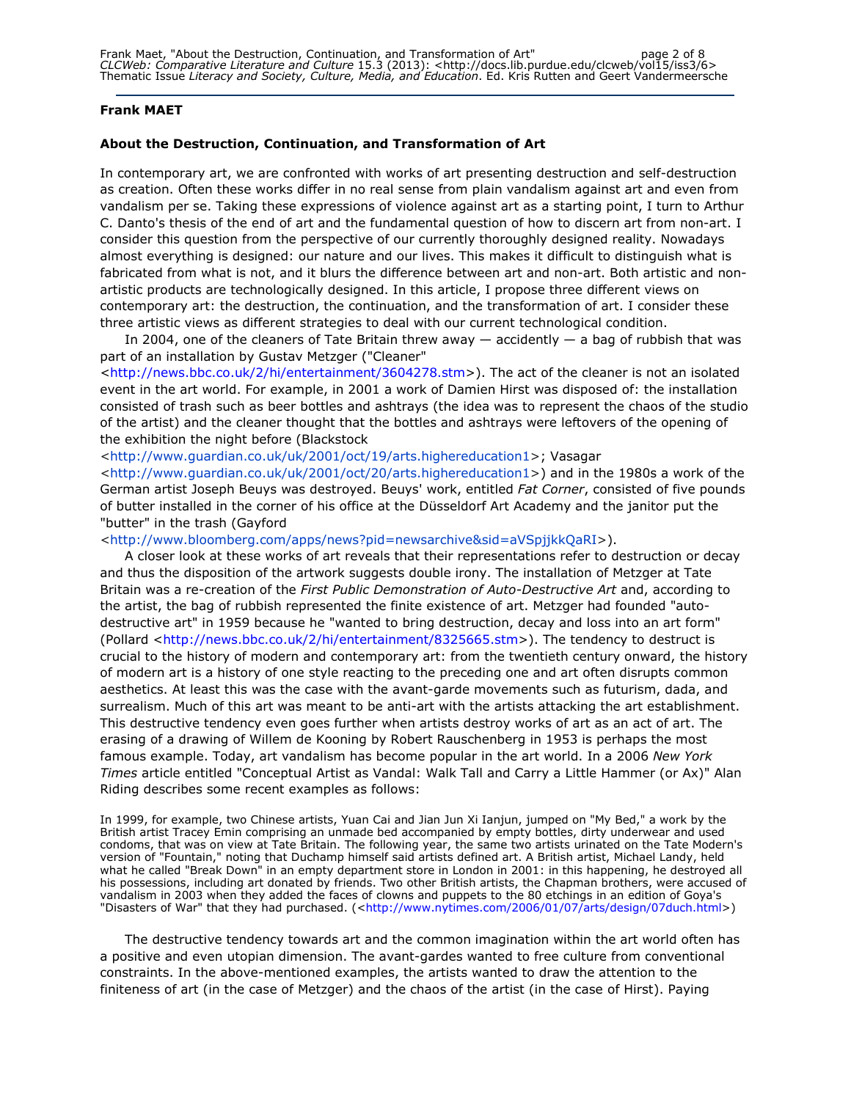#### Frank MAET

#### About the Destruction, Continuation, and Transformation of Art

In contemporary art, we are confronted with works of art presenting destruction and self-destruction as creation. Often these works differ in no real sense from plain vandalism against art and even from vandalism per se. Taking these expressions of violence against art as a starting point, I turn to Arthur C. Danto's thesis of the end of art and the fundamental question of how to discern art from non-art. I consider this question from the perspective of our currently thoroughly designed reality. Nowadays almost everything is designed: our nature and our lives. This makes it difficult to distinguish what is fabricated from what is not, and it blurs the difference between art and non-art. Both artistic and nonartistic products are technologically designed. In this article, I propose three different views on contemporary art: the destruction, the continuation, and the transformation of art. I consider these three artistic views as different strategies to deal with our current technological condition.

In 2004, one of the cleaners of Tate Britain threw away  $-$  accidently  $-$  a bag of rubbish that was part of an installation by Gustav Metzger ("Cleaner"

<http://news.bbc.co.uk/2/hi/entertainment/3604278.stm>). The act of the cleaner is not an isolated event in the art world. For example, in 2001 a work of Damien Hirst was disposed of: the installation consisted of trash such as beer bottles and ashtrays (the idea was to represent the chaos of the studio of the artist) and the cleaner thought that the bottles and ashtrays were leftovers of the opening of the exhibition the night before (Blackstock

<http://www.guardian.co.uk/uk/2001/oct/19/arts.highereducation1>; Vasagar

<http://www.guardian.co.uk/uk/2001/oct/20/arts.highereducation1>) and in the 1980s a work of the German artist Joseph Beuys was destroyed. Beuys' work, entitled Fat Corner, consisted of five pounds of butter installed in the corner of his office at the Düsseldorf Art Academy and the janitor put the "butter" in the trash (Gayford

<http://www.bloomberg.com/apps/news?pid=newsarchive&sid=aVSpjjkkQaRI>).

A closer look at these works of art reveals that their representations refer to destruction or decay and thus the disposition of the artwork suggests double irony. The installation of Metzger at Tate Britain was a re-creation of the First Public Demonstration of Auto-Destructive Art and, according to the artist, the bag of rubbish represented the finite existence of art. Metzger had founded "autodestructive art" in 1959 because he "wanted to bring destruction, decay and loss into an art form" (Pollard <http://news.bbc.co.uk/2/hi/entertainment/8325665.stm>). The tendency to destruct is crucial to the history of modern and contemporary art: from the twentieth century onward, the history of modern art is a history of one style reacting to the preceding one and art often disrupts common aesthetics. At least this was the case with the avant-garde movements such as futurism, dada, and surrealism. Much of this art was meant to be anti-art with the artists attacking the art establishment. This destructive tendency even goes further when artists destroy works of art as an act of art. The erasing of a drawing of Willem de Kooning by Robert Rauschenberg in 1953 is perhaps the most famous example. Today, art vandalism has become popular in the art world. In a 2006 New York Times article entitled "Conceptual Artist as Vandal: Walk Tall and Carry a Little Hammer (or Ax)" Alan Riding describes some recent examples as follows:

In 1999, for example, two Chinese artists, Yuan Cai and Jian Jun Xi Ianjun, jumped on "My Bed," a work by the British artist Tracey Emin comprising an unmade bed accompanied by empty bottles, dirty underwear and used condoms, that was on view at Tate Britain. The following year, the same two artists urinated on the Tate Modern's version of "Fountain," noting that Duchamp himself said artists defined art. A British artist, Michael Landy, held what he called "Break Down" in an empty department store in London in 2001: in this happening, he destroyed all his possessions, including art donated by friends. Two other British artists, the Chapman brothers, were accused of vandalism in 2003 when they added the faces of clowns and puppets to the 80 etchings in an edition of Goya's "Disasters of War" that they had purchased. (<http://www.nytimes.com/2006/01/07/arts/design/07duch.html>)

The destructive tendency towards art and the common imagination within the art world often has a positive and even utopian dimension. The avant-gardes wanted to free culture from conventional constraints. In the above-mentioned examples, the artists wanted to draw the attention to the finiteness of art (in the case of Metzger) and the chaos of the artist (in the case of Hirst). Paying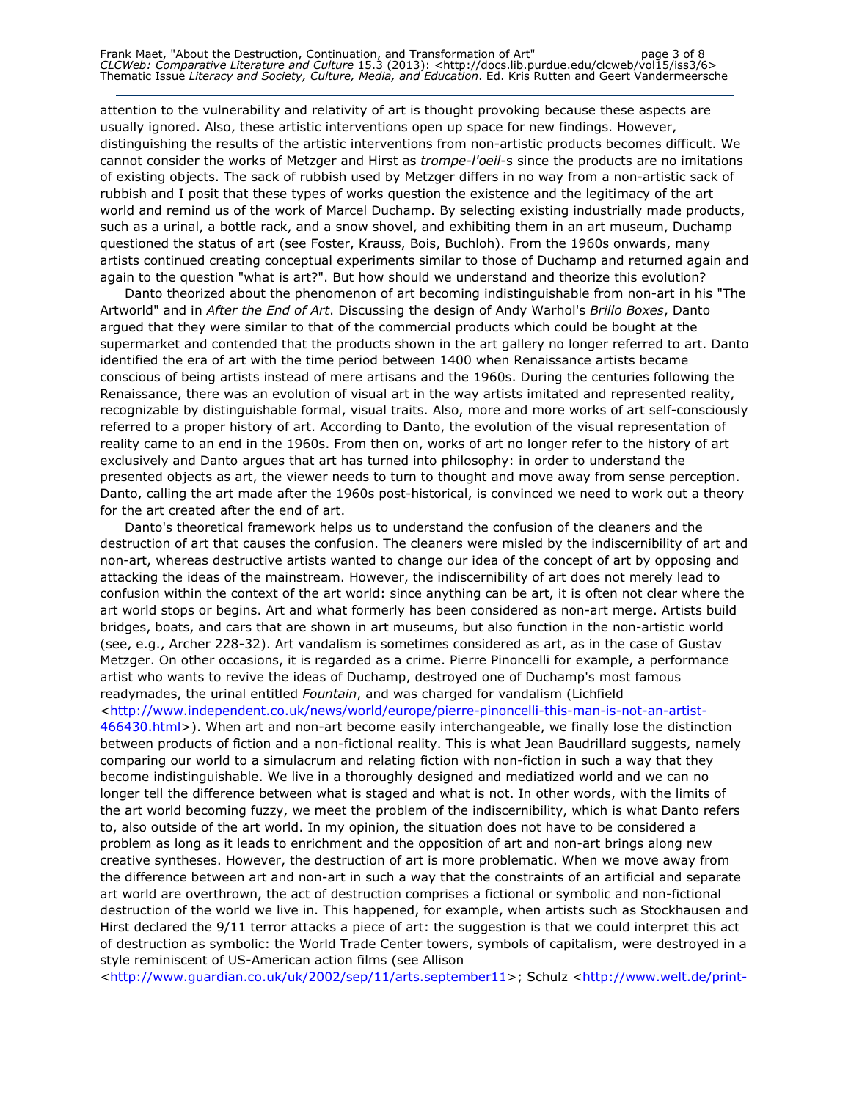attention to the vulnerability and relativity of art is thought provoking because these aspects are usually ignored. Also, these artistic interventions open up space for new findings. However, distinguishing the results of the artistic interventions from non-artistic products becomes difficult. We cannot consider the works of Metzger and Hirst as *trompe-l'oeil*-s since the products are no imitations of existing objects. The sack of rubbish used by Metzger differs in no way from a non-artistic sack of rubbish and I posit that these types of works question the existence and the legitimacy of the art world and remind us of the work of Marcel Duchamp. By selecting existing industrially made products, such as a urinal, a bottle rack, and a snow shovel, and exhibiting them in an art museum, Duchamp questioned the status of art (see Foster, Krauss, Bois, Buchloh). From the 1960s onwards, many artists continued creating conceptual experiments similar to those of Duchamp and returned again and again to the question "what is art?". But how should we understand and theorize this evolution?

Danto theorized about the phenomenon of art becoming indistinguishable from non-art in his "The Artworld" and in After the End of Art. Discussing the design of Andy Warhol's Brillo Boxes, Danto argued that they were similar to that of the commercial products which could be bought at the supermarket and contended that the products shown in the art gallery no longer referred to art. Danto identified the era of art with the time period between 1400 when Renaissance artists became conscious of being artists instead of mere artisans and the 1960s. During the centuries following the Renaissance, there was an evolution of visual art in the way artists imitated and represented reality, recognizable by distinguishable formal, visual traits. Also, more and more works of art self-consciously referred to a proper history of art. According to Danto, the evolution of the visual representation of reality came to an end in the 1960s. From then on, works of art no longer refer to the history of art exclusively and Danto argues that art has turned into philosophy: in order to understand the presented objects as art, the viewer needs to turn to thought and move away from sense perception. Danto, calling the art made after the 1960s post-historical, is convinced we need to work out a theory for the art created after the end of art.

Danto's theoretical framework helps us to understand the confusion of the cleaners and the destruction of art that causes the confusion. The cleaners were misled by the indiscernibility of art and non-art, whereas destructive artists wanted to change our idea of the concept of art by opposing and attacking the ideas of the mainstream. However, the indiscernibility of art does not merely lead to confusion within the context of the art world: since anything can be art, it is often not clear where the art world stops or begins. Art and what formerly has been considered as non-art merge. Artists build bridges, boats, and cars that are shown in art museums, but also function in the non-artistic world (see, e.g., Archer 228-32). Art vandalism is sometimes considered as art, as in the case of Gustav Metzger. On other occasions, it is regarded as a crime. Pierre Pinoncelli for example, a performance artist who wants to revive the ideas of Duchamp, destroyed one of Duchamp's most famous readymades, the urinal entitled Fountain, and was charged for vandalism (Lichfield <http://www.independent.co.uk/news/world/europe/pierre-pinoncelli-this-man-is-not-an-artist-466430.html>). When art and non-art become easily interchangeable, we finally lose the distinction between products of fiction and a non-fictional reality. This is what Jean Baudrillard suggests, namely comparing our world to a simulacrum and relating fiction with non-fiction in such a way that they become indistinguishable. We live in a thoroughly designed and mediatized world and we can no longer tell the difference between what is staged and what is not. In other words, with the limits of the art world becoming fuzzy, we meet the problem of the indiscernibility, which is what Danto refers to, also outside of the art world. In my opinion, the situation does not have to be considered a problem as long as it leads to enrichment and the opposition of art and non-art brings along new creative syntheses. However, the destruction of art is more problematic. When we move away from the difference between art and non-art in such a way that the constraints of an artificial and separate art world are overthrown, the act of destruction comprises a fictional or symbolic and non-fictional destruction of the world we live in. This happened, for example, when artists such as Stockhausen and Hirst declared the 9/11 terror attacks a piece of art: the suggestion is that we could interpret this act of destruction as symbolic: the World Trade Center towers, symbols of capitalism, were destroyed in a style reminiscent of US-American action films (see Allison

<http://www.guardian.co.uk/uk/2002/sep/11/arts.september11>; Schulz <http://www.welt.de/print-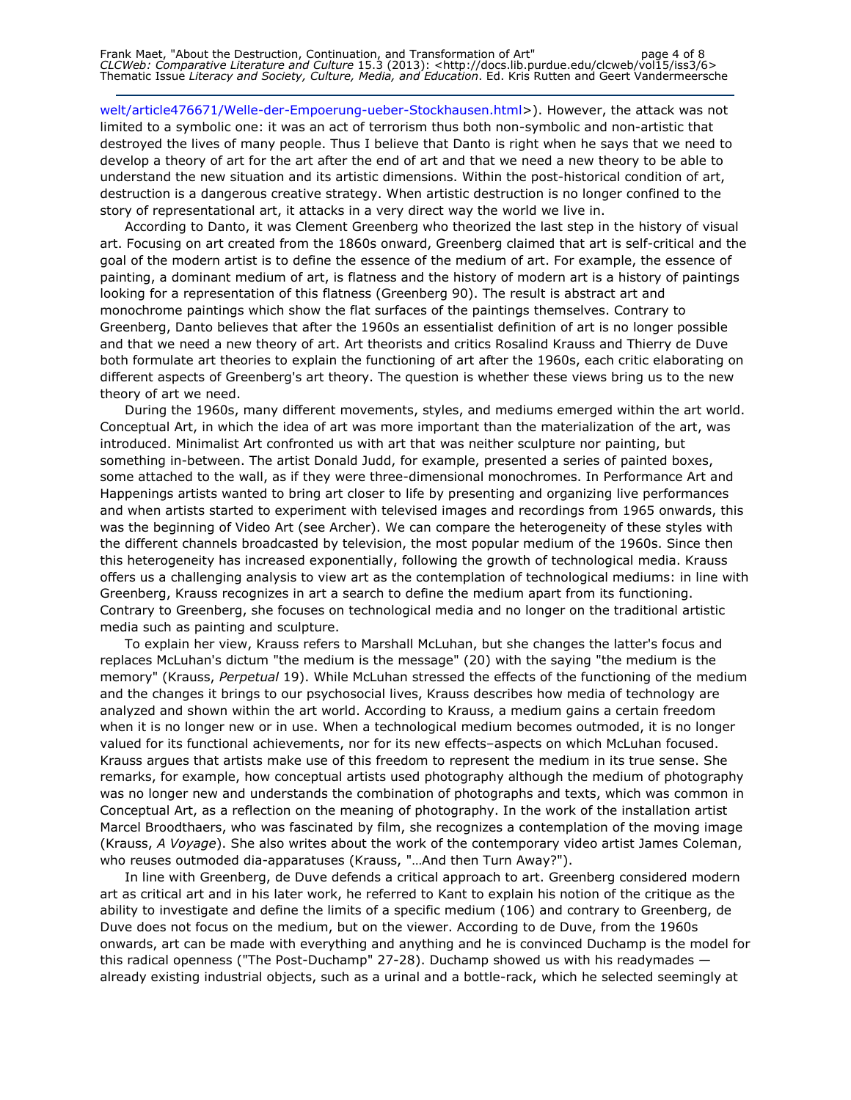welt/article476671/Welle-der-Empoerung-ueber-Stockhausen.html>). However, the attack was not limited to a symbolic one: it was an act of terrorism thus both non-symbolic and non-artistic that destroyed the lives of many people. Thus I believe that Danto is right when he says that we need to develop a theory of art for the art after the end of art and that we need a new theory to be able to understand the new situation and its artistic dimensions. Within the post-historical condition of art, destruction is a dangerous creative strategy. When artistic destruction is no longer confined to the story of representational art, it attacks in a very direct way the world we live in.

According to Danto, it was Clement Greenberg who theorized the last step in the history of visual art. Focusing on art created from the 1860s onward, Greenberg claimed that art is self-critical and the goal of the modern artist is to define the essence of the medium of art. For example, the essence of painting, a dominant medium of art, is flatness and the history of modern art is a history of paintings looking for a representation of this flatness (Greenberg 90). The result is abstract art and monochrome paintings which show the flat surfaces of the paintings themselves. Contrary to Greenberg, Danto believes that after the 1960s an essentialist definition of art is no longer possible and that we need a new theory of art. Art theorists and critics Rosalind Krauss and Thierry de Duve both formulate art theories to explain the functioning of art after the 1960s, each critic elaborating on different aspects of Greenberg's art theory. The question is whether these views bring us to the new theory of art we need.

During the 1960s, many different movements, styles, and mediums emerged within the art world. Conceptual Art, in which the idea of art was more important than the materialization of the art, was introduced. Minimalist Art confronted us with art that was neither sculpture nor painting, but something in-between. The artist Donald Judd, for example, presented a series of painted boxes, some attached to the wall, as if they were three-dimensional monochromes. In Performance Art and Happenings artists wanted to bring art closer to life by presenting and organizing live performances and when artists started to experiment with televised images and recordings from 1965 onwards, this was the beginning of Video Art (see Archer). We can compare the heterogeneity of these styles with the different channels broadcasted by television, the most popular medium of the 1960s. Since then this heterogeneity has increased exponentially, following the growth of technological media. Krauss offers us a challenging analysis to view art as the contemplation of technological mediums: in line with Greenberg, Krauss recognizes in art a search to define the medium apart from its functioning. Contrary to Greenberg, she focuses on technological media and no longer on the traditional artistic media such as painting and sculpture.

To explain her view, Krauss refers to Marshall McLuhan, but she changes the latter's focus and replaces McLuhan's dictum "the medium is the message" (20) with the saying "the medium is the memory" (Krauss, Perpetual 19). While McLuhan stressed the effects of the functioning of the medium and the changes it brings to our psychosocial lives, Krauss describes how media of technology are analyzed and shown within the art world. According to Krauss, a medium gains a certain freedom when it is no longer new or in use. When a technological medium becomes outmoded, it is no longer valued for its functional achievements, nor for its new effects–aspects on which McLuhan focused. Krauss argues that artists make use of this freedom to represent the medium in its true sense. She remarks, for example, how conceptual artists used photography although the medium of photography was no longer new and understands the combination of photographs and texts, which was common in Conceptual Art, as a reflection on the meaning of photography. In the work of the installation artist Marcel Broodthaers, who was fascinated by film, she recognizes a contemplation of the moving image (Krauss, A Voyage). She also writes about the work of the contemporary video artist James Coleman, who reuses outmoded dia-apparatuses (Krauss, "…And then Turn Away?").

In line with Greenberg, de Duve defends a critical approach to art. Greenberg considered modern art as critical art and in his later work, he referred to Kant to explain his notion of the critique as the ability to investigate and define the limits of a specific medium (106) and contrary to Greenberg, de Duve does not focus on the medium, but on the viewer. According to de Duve, from the 1960s onwards, art can be made with everything and anything and he is convinced Duchamp is the model for this radical openness ("The Post-Duchamp" 27-28). Duchamp showed us with his readymades already existing industrial objects, such as a urinal and a bottle-rack, which he selected seemingly at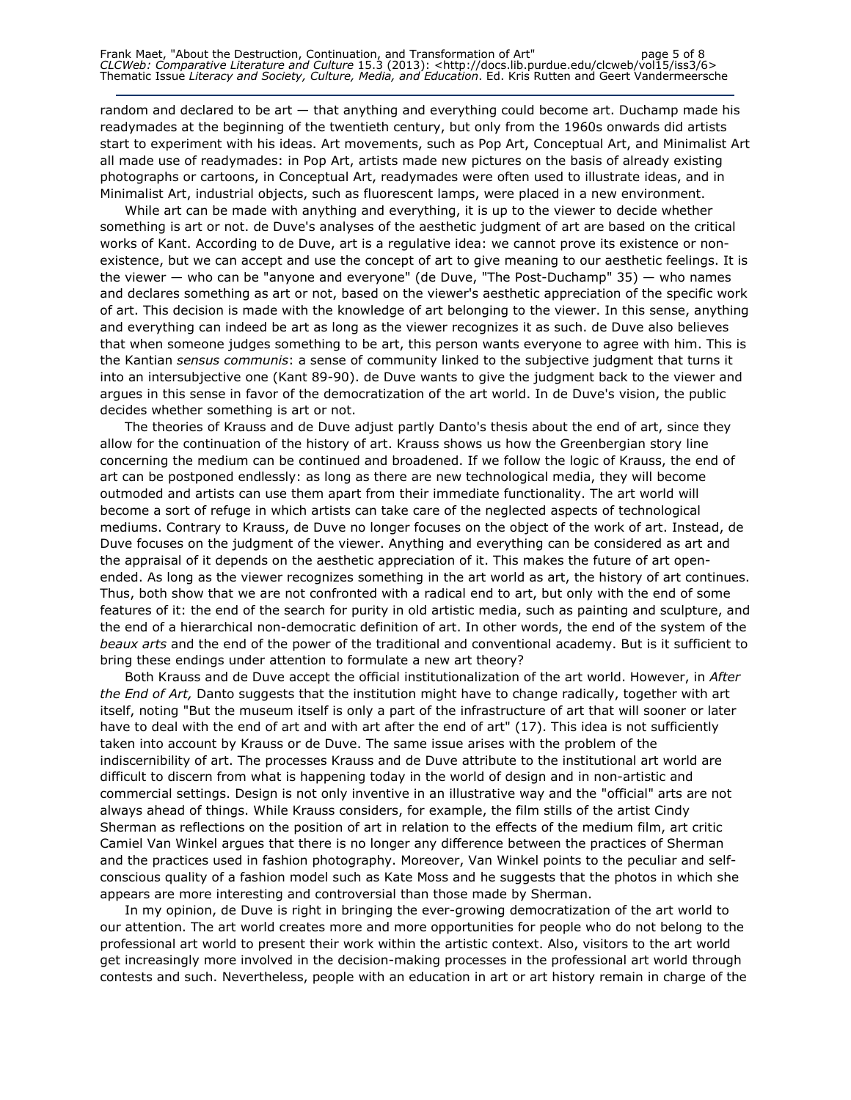random and declared to be art  $-$  that anything and everything could become art. Duchamp made his readymades at the beginning of the twentieth century, but only from the 1960s onwards did artists start to experiment with his ideas. Art movements, such as Pop Art, Conceptual Art, and Minimalist Art all made use of readymades: in Pop Art, artists made new pictures on the basis of already existing photographs or cartoons, in Conceptual Art, readymades were often used to illustrate ideas, and in Minimalist Art, industrial objects, such as fluorescent lamps, were placed in a new environment.

While art can be made with anything and everything, it is up to the viewer to decide whether something is art or not. de Duve's analyses of the aesthetic judgment of art are based on the critical works of Kant. According to de Duve, art is a regulative idea: we cannot prove its existence or nonexistence, but we can accept and use the concept of art to give meaning to our aesthetic feelings. It is the viewer — who can be "anyone and everyone" (de Duve, "The Post-Duchamp" 35) — who names and declares something as art or not, based on the viewer's aesthetic appreciation of the specific work of art. This decision is made with the knowledge of art belonging to the viewer. In this sense, anything and everything can indeed be art as long as the viewer recognizes it as such. de Duve also believes that when someone judges something to be art, this person wants everyone to agree with him. This is the Kantian sensus communis: a sense of community linked to the subjective judgment that turns it into an intersubjective one (Kant 89-90). de Duve wants to give the judgment back to the viewer and argues in this sense in favor of the democratization of the art world. In de Duve's vision, the public decides whether something is art or not.

The theories of Krauss and de Duve adjust partly Danto's thesis about the end of art, since they allow for the continuation of the history of art. Krauss shows us how the Greenbergian story line concerning the medium can be continued and broadened. If we follow the logic of Krauss, the end of art can be postponed endlessly: as long as there are new technological media, they will become outmoded and artists can use them apart from their immediate functionality. The art world will become a sort of refuge in which artists can take care of the neglected aspects of technological mediums. Contrary to Krauss, de Duve no longer focuses on the object of the work of art. Instead, de Duve focuses on the judgment of the viewer. Anything and everything can be considered as art and the appraisal of it depends on the aesthetic appreciation of it. This makes the future of art openended. As long as the viewer recognizes something in the art world as art, the history of art continues. Thus, both show that we are not confronted with a radical end to art, but only with the end of some features of it: the end of the search for purity in old artistic media, such as painting and sculpture, and the end of a hierarchical non-democratic definition of art. In other words, the end of the system of the beaux arts and the end of the power of the traditional and conventional academy. But is it sufficient to bring these endings under attention to formulate a new art theory?

Both Krauss and de Duve accept the official institutionalization of the art world. However, in After the End of Art, Danto suggests that the institution might have to change radically, together with art itself, noting "But the museum itself is only a part of the infrastructure of art that will sooner or later have to deal with the end of art and with art after the end of art" (17). This idea is not sufficiently taken into account by Krauss or de Duve. The same issue arises with the problem of the indiscernibility of art. The processes Krauss and de Duve attribute to the institutional art world are difficult to discern from what is happening today in the world of design and in non-artistic and commercial settings. Design is not only inventive in an illustrative way and the "official" arts are not always ahead of things. While Krauss considers, for example, the film stills of the artist Cindy Sherman as reflections on the position of art in relation to the effects of the medium film, art critic Camiel Van Winkel argues that there is no longer any difference between the practices of Sherman and the practices used in fashion photography. Moreover, Van Winkel points to the peculiar and selfconscious quality of a fashion model such as Kate Moss and he suggests that the photos in which she appears are more interesting and controversial than those made by Sherman.

In my opinion, de Duve is right in bringing the ever-growing democratization of the art world to our attention. The art world creates more and more opportunities for people who do not belong to the professional art world to present their work within the artistic context. Also, visitors to the art world get increasingly more involved in the decision-making processes in the professional art world through contests and such. Nevertheless, people with an education in art or art history remain in charge of the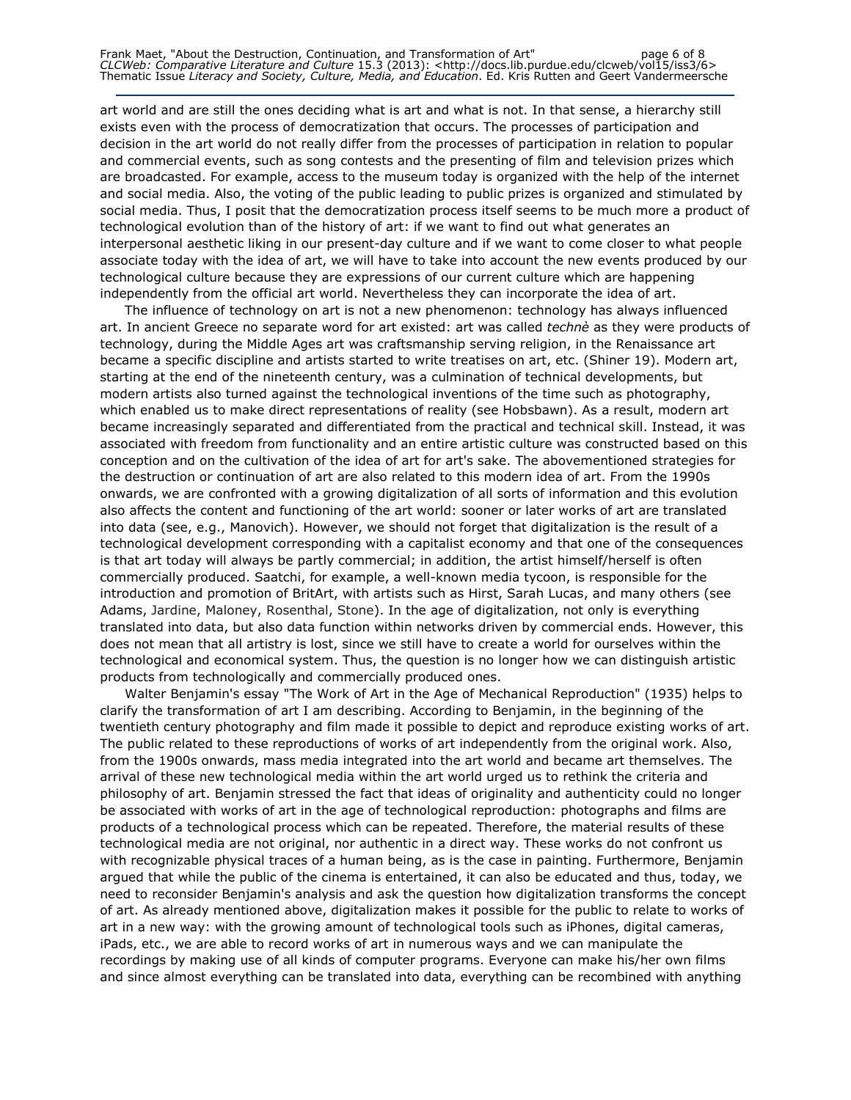art world and are still the ones deciding what is art and what is not. In that sense, a hierarchy still exists even with the process of democratization that occurs. The processes of participation and decision in the art world do not really differ from the processes of participation in relation to popular and commercial events, such as song contests and the presenting of film and television prizes which are broadcasted. For example, access to the museum today is organized with the help of the internet and social media. Also, the voting of the public leading to public prizes is organized and stimulated by social media. Thus, I posit that the democratization process itself seems to be much more a product of technological evolution than of the history of art: if we want to find out what generates an interpersonal aesthetic liking in our present-day culture and if we want to come closer to what people associate today with the idea of art, we will have to take into account the new events produced by our technological culture because they are expressions of our current culture which are happening independently from the official art world. Nevertheless they can incorporate the idea of art.

The influence of technology on art is not a new phenomenon: technology has always influenced art. In ancient Greece no separate word for art existed: art was called technè as they were products of technology, during the Middle Ages art was craftsmanship serving religion, in the Renaissance art became a specific discipline and artists started to write treatises on art, etc. (Shiner 19). Modern art, starting at the end of the nineteenth century, was a culmination of technical developments, but modern artists also turned against the technological inventions of the time such as photography, which enabled us to make direct representations of reality (see Hobsbawn). As a result, modern art became increasingly separated and differentiated from the practical and technical skill. Instead, it was associated with freedom from functionality and an entire artistic culture was constructed based on this conception and on the cultivation of the idea of art for art's sake. The abovementioned strategies for the destruction or continuation of art are also related to this modern idea of art. From the 1990s onwards, we are confronted with a growing digitalization of all sorts of information and this evolution also affects the content and functioning of the art world: sooner or later works of art are translated into data (see, e.g., Manovich). However, we should not forget that digitalization is the result of a technological development corresponding with a capitalist economy and that one of the consequences is that art today will always be partly commercial; in addition, the artist himself/herself is often commercially produced. Saatchi, for example, a well-known media tycoon, is responsible for the introduction and promotion of BritArt, with artists such as Hirst, Sarah Lucas, and many others (see Adams, Jardine, Maloney, Rosenthal, Stone). In the age of digitalization, not only is everything translated into data, but also data function within networks driven by commercial ends. However, this does not mean that all artistry is lost, since we still have to create a world for ourselves within the technological and economical system. Thus, the question is no longer how we can distinguish artistic products from technologically and commercially produced ones.

Walter Benjamin's essay "The Work of Art in the Age of Mechanical Reproduction" (1935) helps to clarify the transformation of art I am describing. According to Benjamin, in the beginning of the twentieth century photography and film made it possible to depict and reproduce existing works of art. The public related to these reproductions of works of art independently from the original work. Also, from the 1900s onwards, mass media integrated into the art world and became art themselves. The arrival of these new technological media within the art world urged us to rethink the criteria and philosophy of art. Benjamin stressed the fact that ideas of originality and authenticity could no longer be associated with works of art in the age of technological reproduction: photographs and films are products of a technological process which can be repeated. Therefore, the material results of these technological media are not original, nor authentic in a direct way. These works do not confront us with recognizable physical traces of a human being, as is the case in painting. Furthermore, Benjamin argued that while the public of the cinema is entertained, it can also be educated and thus, today, we need to reconsider Benjamin's analysis and ask the question how digitalization transforms the concept of art. As already mentioned above, digitalization makes it possible for the public to relate to works of art in a new way: with the growing amount of technological tools such as iPhones, digital cameras, iPads, etc., we are able to record works of art in numerous ways and we can manipulate the recordings by making use of all kinds of computer programs. Everyone can make his/her own films and since almost everything can be translated into data, everything can be recombined with anything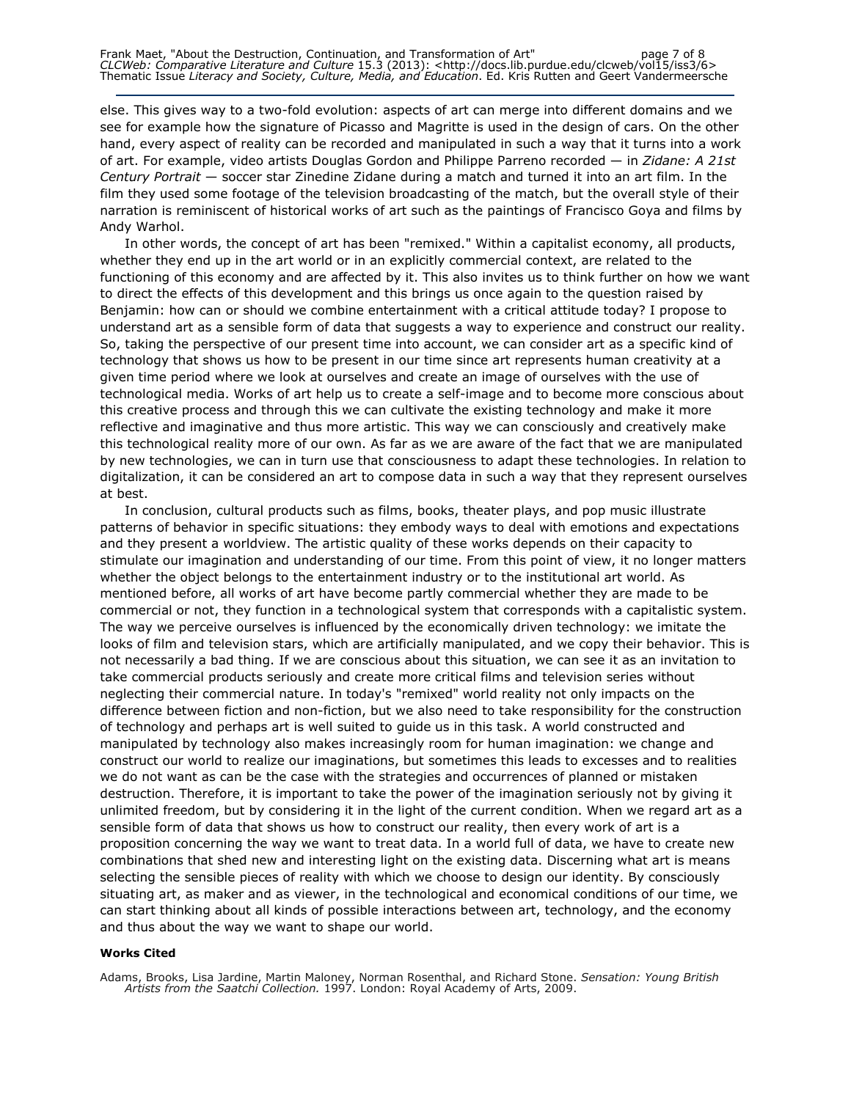else. This gives way to a two-fold evolution: aspects of art can merge into different domains and we see for example how the signature of Picasso and Magritte is used in the design of cars. On the other hand, every aspect of reality can be recorded and manipulated in such a way that it turns into a work of art. For example, video artists Douglas Gordon and Philippe Parreno recorded — in Zidane: A 21st Century Portrait — soccer star Zinedine Zidane during a match and turned it into an art film. In the film they used some footage of the television broadcasting of the match, but the overall style of their narration is reminiscent of historical works of art such as the paintings of Francisco Goya and films by Andy Warhol.

In other words, the concept of art has been "remixed." Within a capitalist economy, all products, whether they end up in the art world or in an explicitly commercial context, are related to the functioning of this economy and are affected by it. This also invites us to think further on how we want to direct the effects of this development and this brings us once again to the question raised by Benjamin: how can or should we combine entertainment with a critical attitude today? I propose to understand art as a sensible form of data that suggests a way to experience and construct our reality. So, taking the perspective of our present time into account, we can consider art as a specific kind of technology that shows us how to be present in our time since art represents human creativity at a given time period where we look at ourselves and create an image of ourselves with the use of technological media. Works of art help us to create a self-image and to become more conscious about this creative process and through this we can cultivate the existing technology and make it more reflective and imaginative and thus more artistic. This way we can consciously and creatively make this technological reality more of our own. As far as we are aware of the fact that we are manipulated by new technologies, we can in turn use that consciousness to adapt these technologies. In relation to digitalization, it can be considered an art to compose data in such a way that they represent ourselves at best.

In conclusion, cultural products such as films, books, theater plays, and pop music illustrate patterns of behavior in specific situations: they embody ways to deal with emotions and expectations and they present a worldview. The artistic quality of these works depends on their capacity to stimulate our imagination and understanding of our time. From this point of view, it no longer matters whether the object belongs to the entertainment industry or to the institutional art world. As mentioned before, all works of art have become partly commercial whether they are made to be commercial or not, they function in a technological system that corresponds with a capitalistic system. The way we perceive ourselves is influenced by the economically driven technology: we imitate the looks of film and television stars, which are artificially manipulated, and we copy their behavior. This is not necessarily a bad thing. If we are conscious about this situation, we can see it as an invitation to take commercial products seriously and create more critical films and television series without neglecting their commercial nature. In today's "remixed" world reality not only impacts on the difference between fiction and non-fiction, but we also need to take responsibility for the construction of technology and perhaps art is well suited to guide us in this task. A world constructed and manipulated by technology also makes increasingly room for human imagination: we change and construct our world to realize our imaginations, but sometimes this leads to excesses and to realities we do not want as can be the case with the strategies and occurrences of planned or mistaken destruction. Therefore, it is important to take the power of the imagination seriously not by giving it unlimited freedom, but by considering it in the light of the current condition. When we regard art as a sensible form of data that shows us how to construct our reality, then every work of art is a proposition concerning the way we want to treat data. In a world full of data, we have to create new combinations that shed new and interesting light on the existing data. Discerning what art is means selecting the sensible pieces of reality with which we choose to design our identity. By consciously situating art, as maker and as viewer, in the technological and economical conditions of our time, we can start thinking about all kinds of possible interactions between art, technology, and the economy and thus about the way we want to shape our world.

#### Works Cited

Adams, Brooks, Lisa Jardine, Martin Maloney, Norman Rosenthal, and Richard Stone. *Sensation: Young British* Artists from the Saatchi Collection. 1997. London: Royal Academy of Arts, 2009.